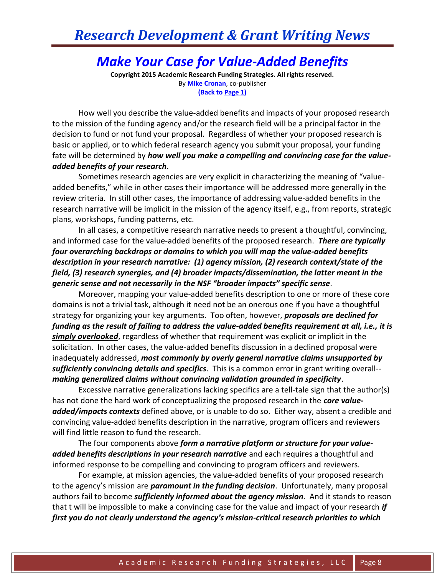## *Research Development & Grant Writing News*

## *Make Your Case for Value-Added Benefits*

**Copyright 2015 Academic Research Funding Strategies. All rights reserved.** By **[Mike Cronan](mailto:mjcronan@gmail.com)**, co-publisher **(Back to Page 1)**

How well you describe the value-added benefits and impacts of your proposed research to the mission of the funding agency and/or the research field will be a principal factor in the decision to fund or not fund your proposal. Regardless of whether your proposed research is basic or applied, or to which federal research agency you submit your proposal, your funding fate will be determined by *how well you make a compelling and convincing case for the valueadded benefits of your research*.

Sometimes research agencies are very explicit in characterizing the meaning of "valueadded benefits," while in other cases their importance will be addressed more generally in the review criteria. In still other cases, the importance of addressing value-added benefits in the research narrative will be implicit in the mission of the agency itself, e.g., from reports, strategic plans, workshops, funding patterns, etc.

In all cases, a competitive research narrative needs to present a thoughtful, convincing, and informed case for the value-added benefits of the proposed research. *There are typically four overarching backdrops or domains to which you will map the value-added benefits description in your research narrative: (1) agency mission, (2) research context/state of the field, (3) research synergies, and (4) broader impacts/dissemination, the latter meant in the generic sense and not necessarily in the NSF "broader impacts" specific sense*.

Moreover, mapping your value-added benefits description to one or more of these core domains is not a trivial task, although it need not be an onerous one if you have a thoughtful strategy for organizing your key arguments. Too often, however, *proposals are declined for funding as the result of failing to address the value-added benefits requirement at all, i.e., it is simply overlooked*, regardless of whether that requirement was explicit or implicit in the solicitation. In other cases, the value-added benefits discussion in a declined proposal were inadequately addressed, *most commonly by overly general narrative claims unsupported by sufficiently convincing details and specifics*. This is a common error in grant writing overall- *making generalized claims without convincing validation grounded in specificity*.

Excessive narrative generalizations lacking specifics are a tell-tale sign that the author(s) has not done the hard work of conceptualizing the proposed research in the *core valueadded/impacts contexts* defined above, or is unable to do so. Either way, absent a credible and convincing value-added benefits description in the narrative, program officers and reviewers will find little reason to fund the research.

The four components above *form a narrative platform or structure for your valueadded benefits descriptions in your research narrative* and each requires a thoughtful and informed response to be compelling and convincing to program officers and reviewers.

For example, at mission agencies, the value-added benefits of your proposed research to the agency's mission are *paramount in the funding decision*. Unfortunately, many proposal authors fail to become *sufficiently informed about the agency mission*. And it stands to reason that t will be impossible to make a convincing case for the value and impact of your research *if first you do not clearly understand the agency's mission-critical research priorities to which*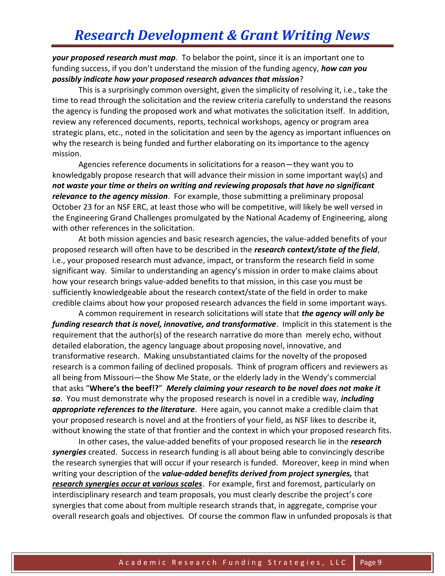*your proposed research must map*. To belabor the point, since it is an important one to funding success, if you don't understand the mission of the funding agency, *how can you possibly indicate how your proposed research advances that mission*?

This is a surprisingly common oversight, given the simplicity of resolving it, i.e., take the time to read through the solicitation and the review criteria carefully to understand the reasons the agency is funding the proposed work and what motivates the solicitation itself. In addition, review any referenced documents, reports, technical workshops, agency or program area strategic plans, etc., noted in the solicitation and seen by the agency as important influences on why the research is being funded and further elaborating on its importance to the agency mission.

Agencies reference documents in solicitations for a reason—they want you to knowledgably propose research that will advance their mission in some important way(s) and *not waste your time or theirs on writing and reviewing proposals that have no significant relevance to the agency mission*. For example, those submitting a preliminary proposal October 23 for an NSF ERC, at least those who will be competitive, will likely be well versed in the Engineering Grand Challenges promulgated by the National Academy of Engineering, along with other references in the solicitation.

At both mission agencies and basic research agencies, the value-added benefits of your proposed research will often have to be described in the *research context/state of the field*, i.e., your proposed research must advance, impact, or transform the research field in some significant way. Similar to understanding an agency's mission in order to make claims about how your research brings value-added benefits to that mission, in this case you must be sufficiently knowledgeable about the research context/state of the field in order to make credible claims about how your proposed research advances the field in some important ways.

A common requirement in research solicitations will state that *the agency will only be funding research that is novel, innovative, and transformative*. Implicit in this statement is the requirement that the author(s) of the research narrative do more than merely echo, without detailed elaboration, the agency language about proposing novel, innovative, and transformative research. Making unsubstantiated claims for the novelty of the proposed research is a common failing of declined proposals. Think of program officers and reviewers as all being from Missouri—the Show Me State, or the elderly lady in the Wendy's commercial that asks "**Where's the beef!?**" *Merely claiming your research to be novel does not make it so*. You must demonstrate why the proposed research is novel in a credible way, *including appropriate references to the literature*. Here again, you cannot make a credible claim that your proposed research is novel and at the frontiers of your field, as NSF likes to describe it, without knowing the state of that frontier and the context in which your proposed research fits.

In other cases, the value-added benefits of your proposed research lie in the *research synergies* created. Success in research funding is all about being able to convincingly describe the research synergies that will occur if your research is funded. Moreover, keep in mind when writing your description of the *value-added benefits derived from project synergies,* that *research synergies occur at various scales*. For example, first and foremost, particularly on interdisciplinary research and team proposals, you must clearly describe the project's core synergies that come about from multiple research strands that, in aggregate, comprise your overall research goals and objectives. Of course the common flaw in unfunded proposals is that